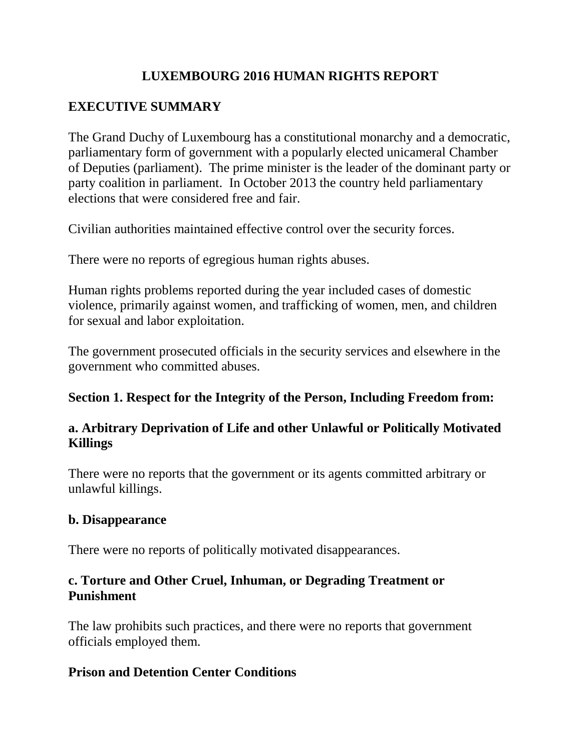# **LUXEMBOURG 2016 HUMAN RIGHTS REPORT**

# **EXECUTIVE SUMMARY**

The Grand Duchy of Luxembourg has a constitutional monarchy and a democratic, parliamentary form of government with a popularly elected unicameral Chamber of Deputies (parliament). The prime minister is the leader of the dominant party or party coalition in parliament. In October 2013 the country held parliamentary elections that were considered free and fair.

Civilian authorities maintained effective control over the security forces.

There were no reports of egregious human rights abuses.

Human rights problems reported during the year included cases of domestic violence, primarily against women, and trafficking of women, men, and children for sexual and labor exploitation.

The government prosecuted officials in the security services and elsewhere in the government who committed abuses.

# **Section 1. Respect for the Integrity of the Person, Including Freedom from:**

# **a. Arbitrary Deprivation of Life and other Unlawful or Politically Motivated Killings**

There were no reports that the government or its agents committed arbitrary or unlawful killings.

## **b. Disappearance**

There were no reports of politically motivated disappearances.

# **c. Torture and Other Cruel, Inhuman, or Degrading Treatment or Punishment**

The law prohibits such practices, and there were no reports that government officials employed them.

# **Prison and Detention Center Conditions**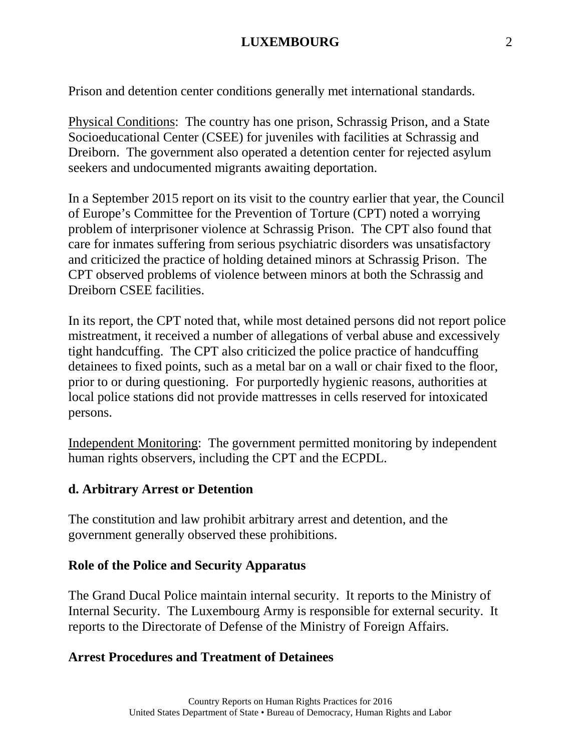Prison and detention center conditions generally met international standards.

Physical Conditions: The country has one prison, Schrassig Prison, and a State Socioeducational Center (CSEE) for juveniles with facilities at Schrassig and Dreiborn. The government also operated a detention center for rejected asylum seekers and undocumented migrants awaiting deportation.

In a September 2015 report on its visit to the country earlier that year, the Council of Europe's Committee for the Prevention of Torture (CPT) noted a worrying problem of interprisoner violence at Schrassig Prison. The CPT also found that care for inmates suffering from serious psychiatric disorders was unsatisfactory and criticized the practice of holding detained minors at Schrassig Prison. The CPT observed problems of violence between minors at both the Schrassig and Dreiborn CSEE facilities.

In its report, the CPT noted that, while most detained persons did not report police mistreatment, it received a number of allegations of verbal abuse and excessively tight handcuffing. The CPT also criticized the police practice of handcuffing detainees to fixed points, such as a metal bar on a wall or chair fixed to the floor, prior to or during questioning. For purportedly hygienic reasons, authorities at local police stations did not provide mattresses in cells reserved for intoxicated persons.

Independent Monitoring: The government permitted monitoring by independent human rights observers, including the CPT and the ECPDL.

#### **d. Arbitrary Arrest or Detention**

The constitution and law prohibit arbitrary arrest and detention, and the government generally observed these prohibitions.

#### **Role of the Police and Security Apparatus**

The Grand Ducal Police maintain internal security. It reports to the Ministry of Internal Security. The Luxembourg Army is responsible for external security. It reports to the Directorate of Defense of the Ministry of Foreign Affairs.

## **Arrest Procedures and Treatment of Detainees**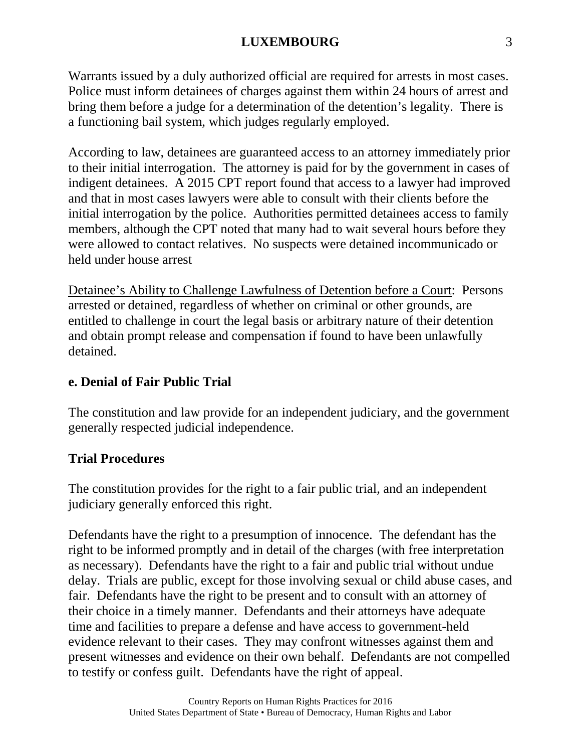Warrants issued by a duly authorized official are required for arrests in most cases. Police must inform detainees of charges against them within 24 hours of arrest and bring them before a judge for a determination of the detention's legality. There is a functioning bail system, which judges regularly employed.

According to law, detainees are guaranteed access to an attorney immediately prior to their initial interrogation. The attorney is paid for by the government in cases of indigent detainees. A 2015 CPT report found that access to a lawyer had improved and that in most cases lawyers were able to consult with their clients before the initial interrogation by the police. Authorities permitted detainees access to family members, although the CPT noted that many had to wait several hours before they were allowed to contact relatives. No suspects were detained incommunicado or held under house arrest

Detainee's Ability to Challenge Lawfulness of Detention before a Court: Persons arrested or detained, regardless of whether on criminal or other grounds, are entitled to challenge in court the legal basis or arbitrary nature of their detention and obtain prompt release and compensation if found to have been unlawfully detained.

## **e. Denial of Fair Public Trial**

The constitution and law provide for an independent judiciary, and the government generally respected judicial independence.

## **Trial Procedures**

The constitution provides for the right to a fair public trial, and an independent judiciary generally enforced this right.

Defendants have the right to a presumption of innocence. The defendant has the right to be informed promptly and in detail of the charges (with free interpretation as necessary). Defendants have the right to a fair and public trial without undue delay. Trials are public, except for those involving sexual or child abuse cases, and fair. Defendants have the right to be present and to consult with an attorney of their choice in a timely manner. Defendants and their attorneys have adequate time and facilities to prepare a defense and have access to government-held evidence relevant to their cases. They may confront witnesses against them and present witnesses and evidence on their own behalf. Defendants are not compelled to testify or confess guilt. Defendants have the right of appeal.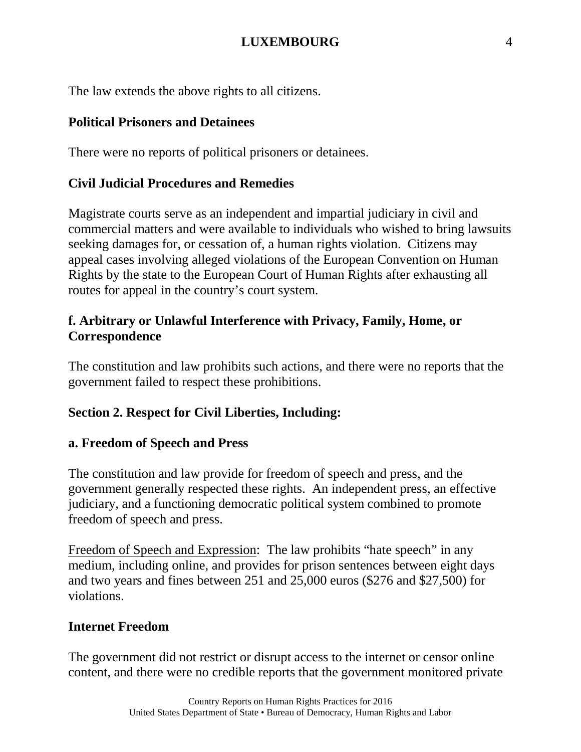The law extends the above rights to all citizens.

# **Political Prisoners and Detainees**

There were no reports of political prisoners or detainees.

# **Civil Judicial Procedures and Remedies**

Magistrate courts serve as an independent and impartial judiciary in civil and commercial matters and were available to individuals who wished to bring lawsuits seeking damages for, or cessation of, a human rights violation. Citizens may appeal cases involving alleged violations of the European Convention on Human Rights by the state to the European Court of Human Rights after exhausting all routes for appeal in the country's court system.

# **f. Arbitrary or Unlawful Interference with Privacy, Family, Home, or Correspondence**

The constitution and law prohibits such actions, and there were no reports that the government failed to respect these prohibitions.

# **Section 2. Respect for Civil Liberties, Including:**

# **a. Freedom of Speech and Press**

The constitution and law provide for freedom of speech and press, and the government generally respected these rights. An independent press, an effective judiciary, and a functioning democratic political system combined to promote freedom of speech and press.

Freedom of Speech and Expression: The law prohibits "hate speech" in any medium, including online, and provides for prison sentences between eight days and two years and fines between 251 and 25,000 euros (\$276 and \$27,500) for violations.

# **Internet Freedom**

The government did not restrict or disrupt access to the internet or censor online content, and there were no credible reports that the government monitored private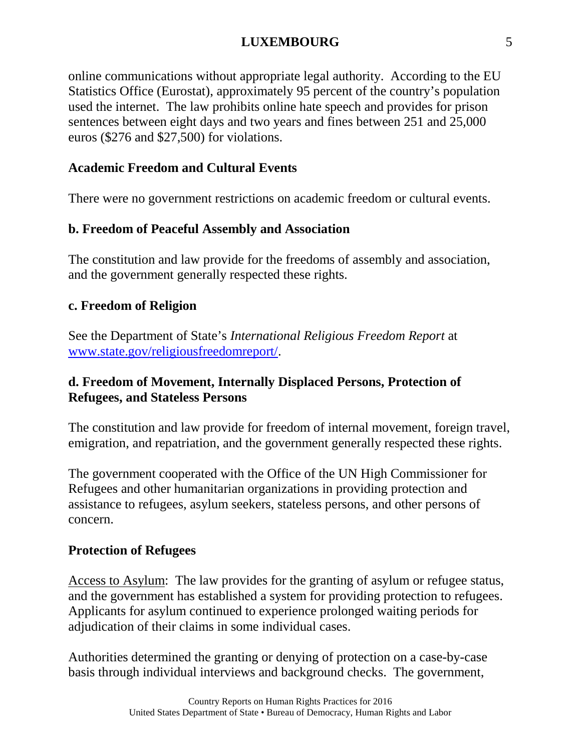online communications without appropriate legal authority. According to the EU Statistics Office (Eurostat), approximately 95 percent of the country's population used the internet. The law prohibits online hate speech and provides for prison sentences between eight days and two years and fines between 251 and 25,000 euros (\$276 and \$27,500) for violations.

#### **Academic Freedom and Cultural Events**

There were no government restrictions on academic freedom or cultural events.

## **b. Freedom of Peaceful Assembly and Association**

The constitution and law provide for the freedoms of assembly and association, and the government generally respected these rights.

#### **c. Freedom of Religion**

See the Department of State's *International Religious Freedom Report* at [www.state.gov/religiousfreedomreport/.](http://www.state.gov/religiousfreedomreport/)

## **d. Freedom of Movement, Internally Displaced Persons, Protection of Refugees, and Stateless Persons**

The constitution and law provide for freedom of internal movement, foreign travel, emigration, and repatriation, and the government generally respected these rights.

The government cooperated with the Office of the UN High Commissioner for Refugees and other humanitarian organizations in providing protection and assistance to refugees, asylum seekers, stateless persons, and other persons of concern.

#### **Protection of Refugees**

Access to Asylum: The law provides for the granting of asylum or refugee status, and the government has established a system for providing protection to refugees. Applicants for asylum continued to experience prolonged waiting periods for adjudication of their claims in some individual cases.

Authorities determined the granting or denying of protection on a case-by-case basis through individual interviews and background checks. The government,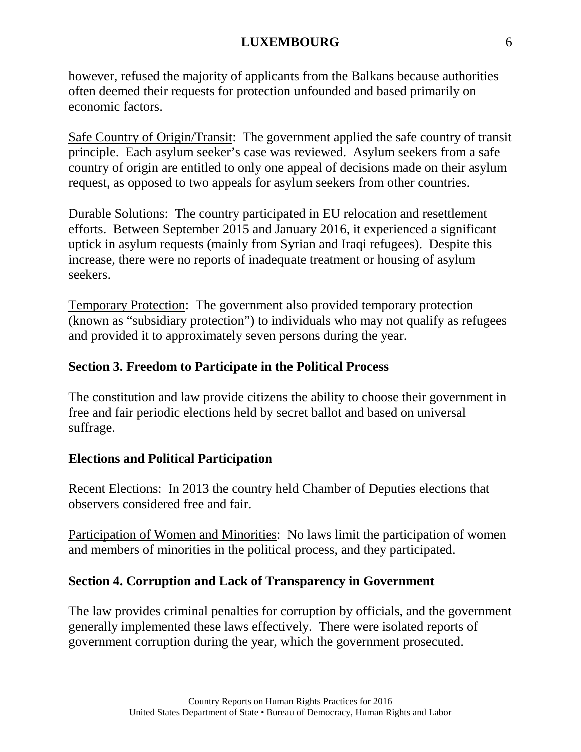however, refused the majority of applicants from the Balkans because authorities often deemed their requests for protection unfounded and based primarily on economic factors.

Safe Country of Origin/Transit: The government applied the safe country of transit principle. Each asylum seeker's case was reviewed. Asylum seekers from a safe country of origin are entitled to only one appeal of decisions made on their asylum request, as opposed to two appeals for asylum seekers from other countries.

Durable Solutions: The country participated in EU relocation and resettlement efforts. Between September 2015 and January 2016, it experienced a significant uptick in asylum requests (mainly from Syrian and Iraqi refugees). Despite this increase, there were no reports of inadequate treatment or housing of asylum seekers.

Temporary Protection: The government also provided temporary protection (known as "subsidiary protection") to individuals who may not qualify as refugees and provided it to approximately seven persons during the year.

## **Section 3. Freedom to Participate in the Political Process**

The constitution and law provide citizens the ability to choose their government in free and fair periodic elections held by secret ballot and based on universal suffrage.

## **Elections and Political Participation**

Recent Elections: In 2013 the country held Chamber of Deputies elections that observers considered free and fair.

Participation of Women and Minorities: No laws limit the participation of women and members of minorities in the political process, and they participated.

## **Section 4. Corruption and Lack of Transparency in Government**

The law provides criminal penalties for corruption by officials, and the government generally implemented these laws effectively. There were isolated reports of government corruption during the year, which the government prosecuted.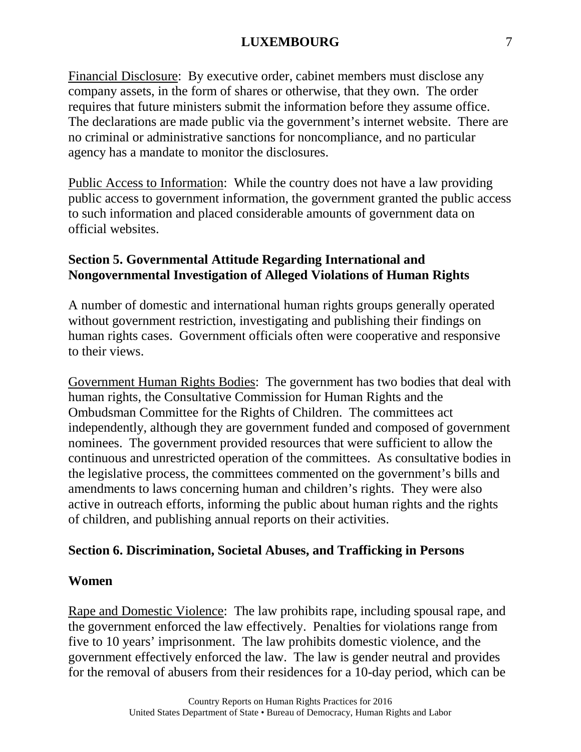Financial Disclosure: By executive order, cabinet members must disclose any company assets, in the form of shares or otherwise, that they own. The order requires that future ministers submit the information before they assume office. The declarations are made public via the government's internet website. There are no criminal or administrative sanctions for noncompliance, and no particular agency has a mandate to monitor the disclosures.

Public Access to Information: While the country does not have a law providing public access to government information, the government granted the public access to such information and placed considerable amounts of government data on official websites.

## **Section 5. Governmental Attitude Regarding International and Nongovernmental Investigation of Alleged Violations of Human Rights**

A number of domestic and international human rights groups generally operated without government restriction, investigating and publishing their findings on human rights cases. Government officials often were cooperative and responsive to their views.

Government Human Rights Bodies: The government has two bodies that deal with human rights, the Consultative Commission for Human Rights and the Ombudsman Committee for the Rights of Children. The committees act independently, although they are government funded and composed of government nominees. The government provided resources that were sufficient to allow the continuous and unrestricted operation of the committees. As consultative bodies in the legislative process, the committees commented on the government's bills and amendments to laws concerning human and children's rights. They were also active in outreach efforts, informing the public about human rights and the rights of children, and publishing annual reports on their activities.

# **Section 6. Discrimination, Societal Abuses, and Trafficking in Persons**

#### **Women**

Rape and Domestic Violence: The law prohibits rape, including spousal rape, and the government enforced the law effectively. Penalties for violations range from five to 10 years' imprisonment. The law prohibits domestic violence, and the government effectively enforced the law. The law is gender neutral and provides for the removal of abusers from their residences for a 10-day period, which can be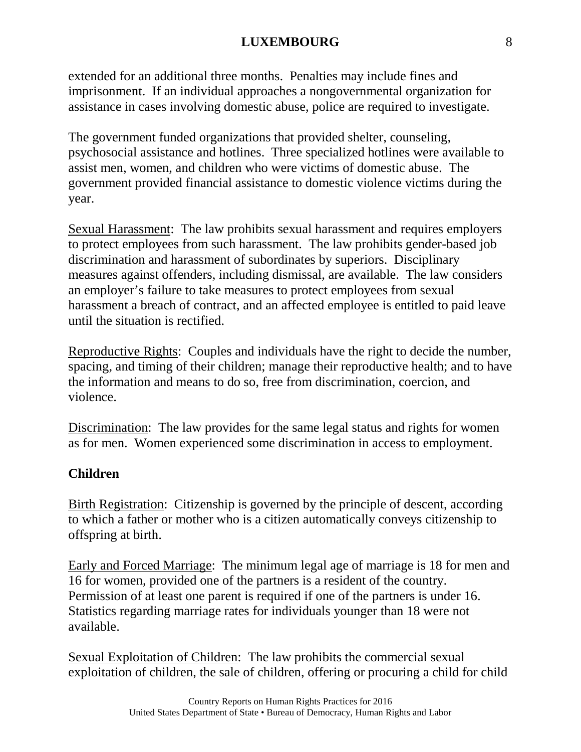extended for an additional three months. Penalties may include fines and imprisonment. If an individual approaches a nongovernmental organization for assistance in cases involving domestic abuse, police are required to investigate.

The government funded organizations that provided shelter, counseling, psychosocial assistance and hotlines. Three specialized hotlines were available to assist men, women, and children who were victims of domestic abuse. The government provided financial assistance to domestic violence victims during the year.

Sexual Harassment: The law prohibits sexual harassment and requires employers to protect employees from such harassment. The law prohibits gender-based job discrimination and harassment of subordinates by superiors. Disciplinary measures against offenders, including dismissal, are available. The law considers an employer's failure to take measures to protect employees from sexual harassment a breach of contract, and an affected employee is entitled to paid leave until the situation is rectified.

Reproductive Rights: Couples and individuals have the right to decide the number, spacing, and timing of their children; manage their reproductive health; and to have the information and means to do so, free from discrimination, coercion, and violence.

Discrimination: The law provides for the same legal status and rights for women as for men. Women experienced some discrimination in access to employment.

# **Children**

Birth Registration: Citizenship is governed by the principle of descent, according to which a father or mother who is a citizen automatically conveys citizenship to offspring at birth.

Early and Forced Marriage: The minimum legal age of marriage is 18 for men and 16 for women, provided one of the partners is a resident of the country. Permission of at least one parent is required if one of the partners is under 16. Statistics regarding marriage rates for individuals younger than 18 were not available.

Sexual Exploitation of Children: The law prohibits the commercial sexual exploitation of children, the sale of children, offering or procuring a child for child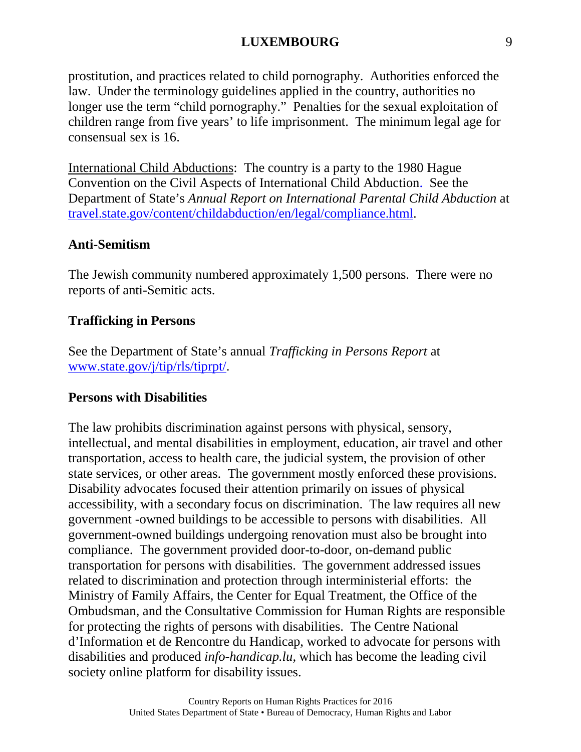prostitution, and practices related to child pornography. Authorities enforced the law. Under the terminology guidelines applied in the country, authorities no longer use the term "child pornography." Penalties for the sexual exploitation of children range from five years' to life imprisonment. The minimum legal age for consensual sex is 16.

International Child Abductions: The country is a party to the 1980 Hague Convention on the Civil Aspects of International Child Abduction. See the Department of State's *Annual Report on International Parental Child Abduction* at [travel.state.gov/content/childabduction/en/legal/compliance.html.](https://travel.state.gov/content/childabduction/en/legal/compliance.html)

## **Anti-Semitism**

The Jewish community numbered approximately 1,500 persons. There were no reports of anti-Semitic acts.

#### **Trafficking in Persons**

See the Department of State's annual *Trafficking in Persons Report* at [www.state.gov/j/tip/rls/tiprpt/.](http://www.state.gov/j/tip/rls/tiprpt/)

#### **Persons with Disabilities**

The law prohibits discrimination against persons with physical, sensory, intellectual, and mental disabilities in employment, education, air travel and other transportation, access to health care, the judicial system, the provision of other state services, or other areas. The government mostly enforced these provisions. Disability advocates focused their attention primarily on issues of physical accessibility, with a secondary focus on discrimination. The law requires all new government -owned buildings to be accessible to persons with disabilities. All government-owned buildings undergoing renovation must also be brought into compliance. The government provided door-to-door, on-demand public transportation for persons with disabilities. The government addressed issues related to discrimination and protection through interministerial efforts: the Ministry of Family Affairs, the Center for Equal Treatment, the Office of the Ombudsman, and the Consultative Commission for Human Rights are responsible for protecting the rights of persons with disabilities. The Centre National d'Information et de Rencontre du Handicap, worked to advocate for persons with disabilities and produced *info-handicap.lu*, which has become the leading civil society online platform for disability issues.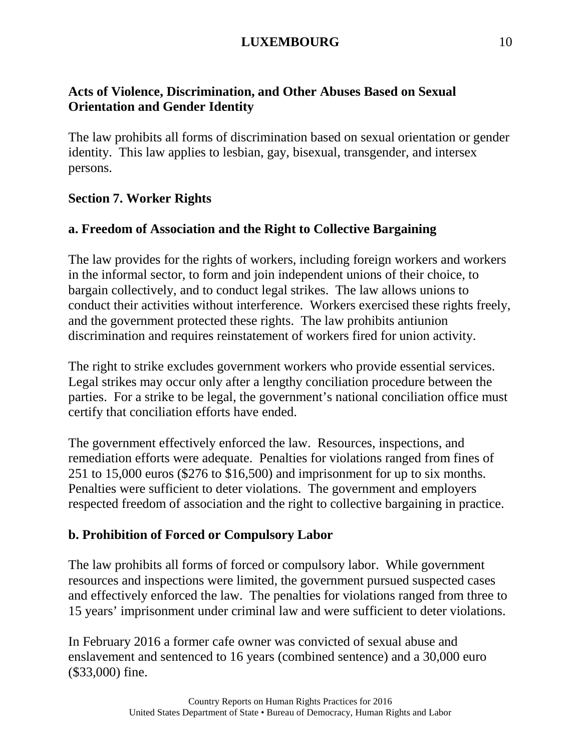## **Acts of Violence, Discrimination, and Other Abuses Based on Sexual Orientation and Gender Identity**

The law prohibits all forms of discrimination based on sexual orientation or gender identity. This law applies to lesbian, gay, bisexual, transgender, and intersex persons.

## **Section 7. Worker Rights**

## **a. Freedom of Association and the Right to Collective Bargaining**

The law provides for the rights of workers, including foreign workers and workers in the informal sector, to form and join independent unions of their choice, to bargain collectively, and to conduct legal strikes. The law allows unions to conduct their activities without interference. Workers exercised these rights freely, and the government protected these rights. The law prohibits antiunion discrimination and requires reinstatement of workers fired for union activity.

The right to strike excludes government workers who provide essential services. Legal strikes may occur only after a lengthy conciliation procedure between the parties. For a strike to be legal, the government's national conciliation office must certify that conciliation efforts have ended.

The government effectively enforced the law. Resources, inspections, and remediation efforts were adequate. Penalties for violations ranged from fines of 251 to 15,000 euros (\$276 to \$16,500) and imprisonment for up to six months. Penalties were sufficient to deter violations. The government and employers respected freedom of association and the right to collective bargaining in practice.

# **b. Prohibition of Forced or Compulsory Labor**

The law prohibits all forms of forced or compulsory labor. While government resources and inspections were limited, the government pursued suspected cases and effectively enforced the law. The penalties for violations ranged from three to 15 years' imprisonment under criminal law and were sufficient to deter violations.

In February 2016 a former cafe owner was convicted of sexual abuse and enslavement and sentenced to 16 years (combined sentence) and a 30,000 euro (\$33,000) fine.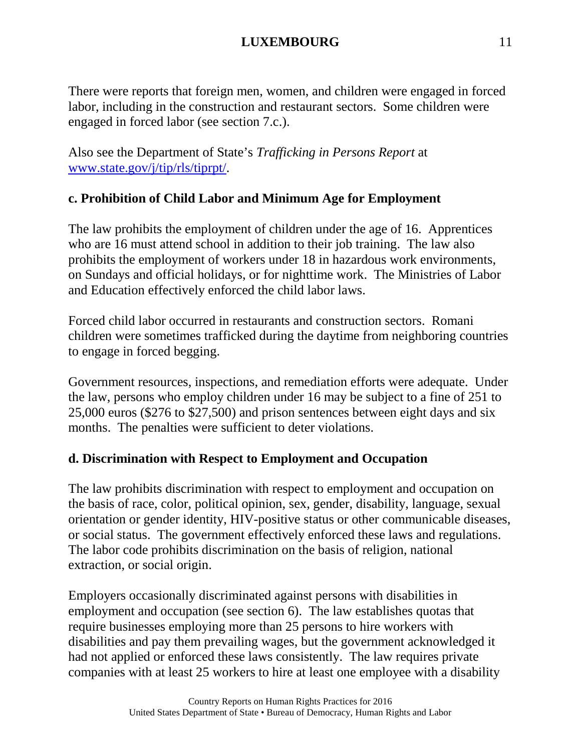There were reports that foreign men, women, and children were engaged in forced labor, including in the construction and restaurant sectors. Some children were engaged in forced labor (see section 7.c.).

Also see the Department of State's *Trafficking in Persons Report* at [www.state.gov/j/tip/rls/tiprpt/.](http://www.state.gov/j/tip/rls/tiprpt/)

# **c. Prohibition of Child Labor and Minimum Age for Employment**

The law prohibits the employment of children under the age of 16. Apprentices who are 16 must attend school in addition to their job training. The law also prohibits the employment of workers under 18 in hazardous work environments, on Sundays and official holidays, or for nighttime work. The Ministries of Labor and Education effectively enforced the child labor laws.

Forced child labor occurred in restaurants and construction sectors. Romani children were sometimes trafficked during the daytime from neighboring countries to engage in forced begging.

Government resources, inspections, and remediation efforts were adequate. Under the law, persons who employ children under 16 may be subject to a fine of 251 to 25,000 euros (\$276 to \$27,500) and prison sentences between eight days and six months. The penalties were sufficient to deter violations.

# **d. Discrimination with Respect to Employment and Occupation**

The law prohibits discrimination with respect to employment and occupation on the basis of race, color, political opinion, sex, gender, disability, language, sexual orientation or gender identity, HIV-positive status or other communicable diseases, or social status. The government effectively enforced these laws and regulations. The labor code prohibits discrimination on the basis of religion, national extraction, or social origin.

Employers occasionally discriminated against persons with disabilities in employment and occupation (see section 6). The law establishes quotas that require businesses employing more than 25 persons to hire workers with disabilities and pay them prevailing wages, but the government acknowledged it had not applied or enforced these laws consistently. The law requires private companies with at least 25 workers to hire at least one employee with a disability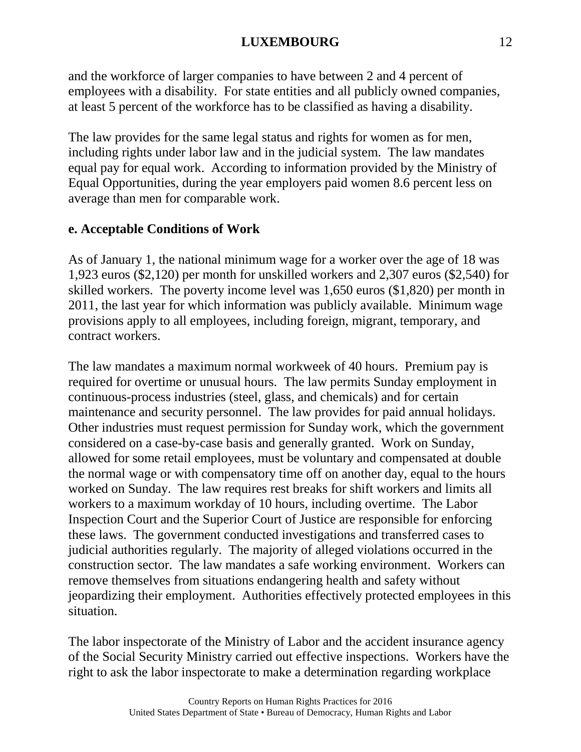and the workforce of larger companies to have between 2 and 4 percent of employees with a disability. For state entities and all publicly owned companies, at least 5 percent of the workforce has to be classified as having a disability.

The law provides for the same legal status and rights for women as for men, including rights under labor law and in the judicial system. The law mandates equal pay for equal work. According to information provided by the Ministry of Equal Opportunities, during the year employers paid women 8.6 percent less on average than men for comparable work.

# **e. Acceptable Conditions of Work**

As of January 1, the national minimum wage for a worker over the age of 18 was 1,923 euros (\$2,120) per month for unskilled workers and 2,307 euros (\$2,540) for skilled workers. The poverty income level was 1,650 euros (\$1,820) per month in 2011, the last year for which information was publicly available. Minimum wage provisions apply to all employees, including foreign, migrant, temporary, and contract workers.

The law mandates a maximum normal workweek of 40 hours. Premium pay is required for overtime or unusual hours. The law permits Sunday employment in continuous-process industries (steel, glass, and chemicals) and for certain maintenance and security personnel. The law provides for paid annual holidays. Other industries must request permission for Sunday work, which the government considered on a case-by-case basis and generally granted. Work on Sunday, allowed for some retail employees, must be voluntary and compensated at double the normal wage or with compensatory time off on another day, equal to the hours worked on Sunday. The law requires rest breaks for shift workers and limits all workers to a maximum workday of 10 hours, including overtime. The Labor Inspection Court and the Superior Court of Justice are responsible for enforcing these laws. The government conducted investigations and transferred cases to judicial authorities regularly. The majority of alleged violations occurred in the construction sector. The law mandates a safe working environment. Workers can remove themselves from situations endangering health and safety without jeopardizing their employment. Authorities effectively protected employees in this situation.

The labor inspectorate of the Ministry of Labor and the accident insurance agency of the Social Security Ministry carried out effective inspections. Workers have the right to ask the labor inspectorate to make a determination regarding workplace